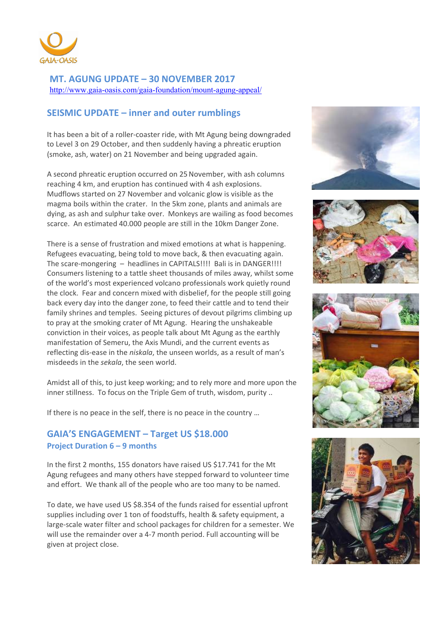

**MT. AGUNG UPDATE – 30 NOVEMBER 2017**  http://www.gaia-oasis.com/gaia-foundation/mount-agung-appeal/

## **SEISMIC UPDATE – inner and outer rumblings**

It has been a bit of a roller-coaster ride, with Mt Agung being downgraded to Level 3 on 29 October, and then suddenly having a phreatic eruption (smoke, ash, water) on 21 November and being upgraded again.

A second phreatic eruption occurred on 25November, with ash columns reaching 4 km, and eruption has continued with 4 ash explosions. Mudflows started on 27 November and volcanic glow is visible as the magma boils within the crater. In the 5km zone, plants and animals are dying, as ash and sulphur take over. Monkeys are wailing as food becomes scarce. An estimated 40.000 people are still in the 10km Danger Zone.

There is a sense of frustration and mixed emotions at what is happening. Refugees evacuating, being told to move back, & then evacuating again. The scare-mongering – headlines in CAPITALS!!!! Bali is in DANGER!!!! Consumers listening to a tattle sheet thousands of miles away, whilst some of the world's most experienced volcano professionals work quietly round the clock. Fear and concern mixed with disbelief, for the people still going back every day into the danger zone, to feed their cattle and to tend their family shrines and temples. Seeing pictures of devout pilgrims climbing up to pray at the smoking crater of Mt Agung. Hearing the unshakeable conviction in their voices, as people talk about Mt Agung as the earthly manifestation of Semeru, the Axis Mundi, and the current events as reflecting dis-ease in the *niskala*, the unseen worlds, as a result of man's misdeeds in the *sekala*, the seen world.

Amidst all of this, to just keep working; and to rely more and more upon the inner stillness. To focus on the Triple Gem of truth, wisdom, purity ..

If there is no peace in the self, there is no peace in the country …

### **GAIA'S ENGAGEMENT – Target US \$18.000 Project Duration 6 – 9 months**

In the first 2 months, 155 donators have raised US \$17.741 for the Mt Agung refugees and many others have stepped forward to volunteer time and effort. We thank all of the people who are too many to be named.

To date, we have used US \$8.354 of the funds raised for essential upfront supplies including over 1 ton of foodstuffs, health & safety equipment, a large-scale water filter and school packages for children for a semester. We will use the remainder over a 4-7 month period. Full accounting will be given at project close.







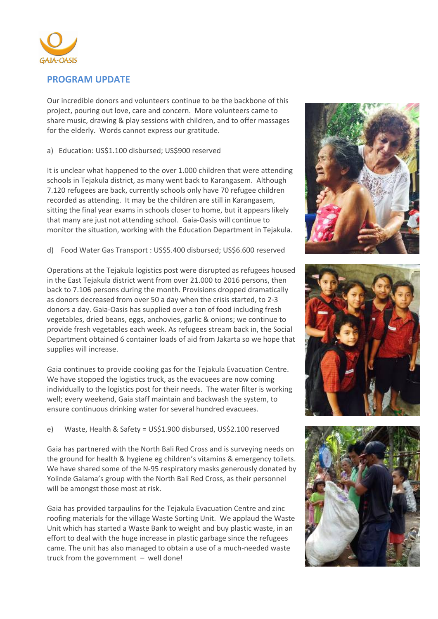

#### **PROGRAM UPDATE**

Our incredible donors and volunteers continue to be the backbone of this project, pouring out love, care and concern. More volunteers came to share music, drawing & play sessions with children, and to offer massages for the elderly. Words cannot express our gratitude.

a) Education: US\$1.100 disbursed; US\$900 reserved

It is unclear what happened to the over 1.000 children that were attending schools in Tejakula district, as many went back to Karangasem. Although 7.120 refugees are back, currently schools only have 70 refugee children recorded as attending. It may be the children are still in Karangasem, sitting the final year exams in schools closer to home, but it appears likely that many are just not attending school. Gaia-Oasis will continue to monitor the situation, working with the Education Department in Tejakula.

d) Food Water Gas Transport : US\$5.400 disbursed; US\$6.600 reserved

Operations at the Tejakula logistics post were disrupted as refugees housed in the East Tejakula district went from over 21.000 to 2016 persons, then back to 7.106 persons during the month. Provisions dropped dramatically as donors decreased from over 50 a day when the crisis started, to 2-3 donors a day. Gaia-Oasis has supplied over a ton of food including fresh vegetables, dried beans, eggs, anchovies, garlic & onions; we continue to provide fresh vegetables each week. As refugees stream back in, the Social Department obtained 6 container loads of aid from Jakarta so we hope that supplies will increase.

Gaia continues to provide cooking gas for the Tejakula Evacuation Centre. We have stopped the logistics truck, as the evacuees are now coming individually to the logistics post for their needs. The water filter is working well; every weekend, Gaia staff maintain and backwash the system, to ensure continuous drinking water for several hundred evacuees.

e) Waste, Health & Safety = US\$1.900 disbursed, US\$2.100 reserved

Gaia has partnered with the North Bali Red Cross and is surveying needs on the ground for health & hygiene eg children's vitamins & emergency toilets. We have shared some of the N-95 respiratory masks generously donated by Yolinde Galama's group with the North Bali Red Cross, as their personnel will be amongst those most at risk.

Gaia has provided tarpaulins for the Tejakula Evacuation Centre and zinc roofing materials for the village Waste Sorting Unit. We applaud the Waste Unit which has started a Waste Bank to weight and buy plastic waste, in an effort to deal with the huge increase in plastic garbage since the refugees came. The unit has also managed to obtain a use of a much-needed waste truck from the government – well done!